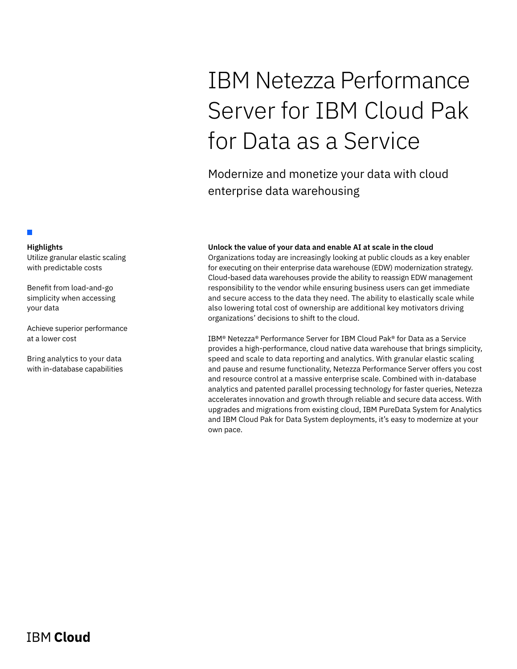# IBM Netezza Performance Server for IBM Cloud Pak for Data as a Service

Modernize and monetize your data with cloud enterprise data warehousing

# **Unlock the value of your data and enable AI at scale in the cloud**

Organizations today are increasingly looking at public clouds as a key enabler for executing on their enterprise data warehouse (EDW) modernization strategy. Cloud-based data warehouses provide the ability to reassign EDW management responsibility to the vendor while ensuring business users can get immediate and secure access to the data they need. The ability to elastically scale while also lowering total cost of ownership are additional key motivators driving organizations' decisions to shift to the cloud.

IBM® Netezza® Performance Server for IBM Cloud Pak® for Data as a Service provides a high-performance, cloud native data warehouse that brings simplicity, speed and scale to data reporting and analytics. With granular elastic scaling and pause and resume functionality, Netezza Performance Server offers you cost and resource control at a massive enterprise scale. Combined with in-database analytics and patented parallel processing technology for faster queries, Netezza accelerates innovation and growth through reliable and secure data access. With upgrades and migrations from existing cloud, IBM PureData System for Analytics and IBM Cloud Pak for Data System deployments, it's easy to modernize at your own pace.

# **Highlights**

П

Utilize granular elastic scaling with predictable costs

Benefit from load-and-go simplicity when accessing your data

Achieve superior performance at a lower cost

Bring analytics to your data with in-database capabilities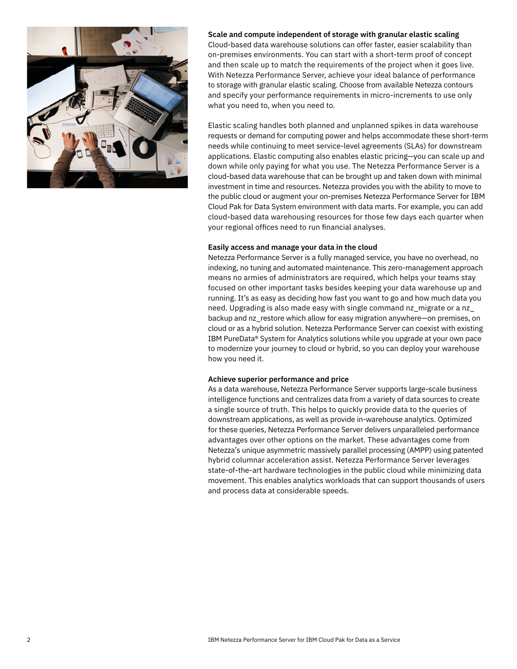

# **Scale and compute independent of storage with granular elastic scaling**

Cloud-based data warehouse solutions can offer faster, easier scalability than on-premises environments. You can start with a short-term proof of concept and then scale up to match the requirements of the project when it goes live. With Netezza Performance Server, achieve your ideal balance of performance to storage with granular elastic scaling. Choose from available Netezza contours and specify your performance requirements in micro-increments to use only what you need to, when you need to.

Elastic scaling handles both planned and unplanned spikes in data warehouse requests or demand for computing power and helps accommodate these short-term needs while continuing to meet service-level agreements (SLAs) for downstream applications. Elastic computing also enables elastic pricing—you can scale up and down while only paying for what you use. The Netezza Performance Server is a cloud-based data warehouse that can be brought up and taken down with minimal investment in time and resources. Netezza provides you with the ability to move to the public cloud or augment your on-premises Netezza Performance Server for IBM Cloud Pak for Data System environment with data marts. For example, you can add cloud-based data warehousing resources for those few days each quarter when your regional offices need to run financial analyses.

# **Easily access and manage your data in the cloud**

Netezza Performance Server is a fully managed service, you have no overhead, no indexing, no tuning and automated maintenance. This zero-management approach means no armies of administrators are required, which helps your teams stay focused on other important tasks besides keeping your data warehouse up and running. It's as easy as deciding how fast you want to go and how much data you need. Upgrading is also made easy with single command nz\_migrate or a nz\_ backup and nz\_restore which allow for easy migration anywhere—on premises, on cloud or as a hybrid solution. Netezza Performance Server can coexist with existing IBM PureData® System for Analytics solutions while you upgrade at your own pace to modernize your journey to cloud or hybrid, so you can deploy your warehouse how you need it.

# **Achieve superior performance and price**

As a data warehouse, Netezza Performance Server supports large-scale business intelligence functions and centralizes data from a variety of data sources to create a single source of truth. This helps to quickly provide data to the queries of downstream applications, as well as provide in-warehouse analytics. Optimized for these queries, Netezza Performance Server delivers unparalleled performance advantages over other options on the market. These advantages come from Netezza's unique asymmetric massively parallel processing (AMPP) using patented hybrid columnar acceleration assist. Netezza Performance Server leverages state-of-the-art hardware technologies in the public cloud while minimizing data movement. This enables analytics workloads that can support thousands of users and process data at considerable speeds.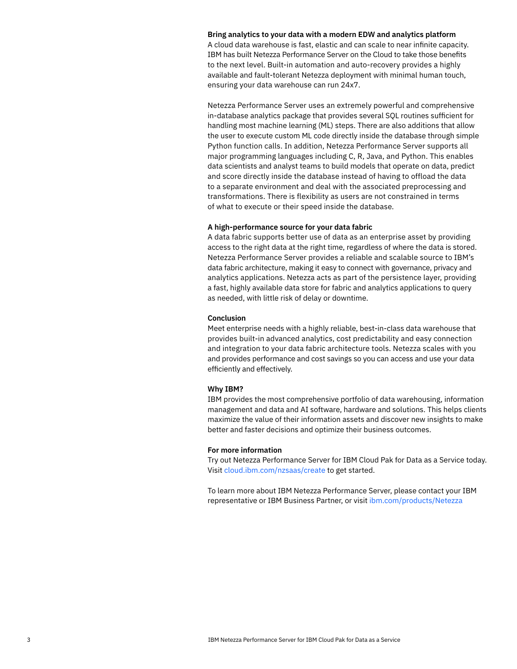#### **Bring analytics to your data with a modern EDW and analytics platform**

A cloud data warehouse is fast, elastic and can scale to near infinite capacity. IBM has built Netezza Performance Server on the Cloud to take those benefits to the next level. Built-in automation and auto-recovery provides a highly available and fault-tolerant Netezza deployment with minimal human touch, ensuring your data warehouse can run 24x7.

Netezza Performance Server uses an extremely powerful and comprehensive in-database analytics package that provides several SQL routines sufficient for handling most machine learning (ML) steps. There are also additions that allow the user to execute custom ML code directly inside the database through simple Python function calls. In addition, Netezza Performance Server supports all major programming languages including C, R, Java, and Python. This enables data scientists and analyst teams to build models that operate on data, predict and score directly inside the database instead of having to offload the data to a separate environment and deal with the associated preprocessing and transformations. There is flexibility as users are not constrained in terms of what to execute or their speed inside the database.

# **A high-performance source for your data fabric**

A data fabric supports better use of data as an enterprise asset by providing access to the right data at the right time, regardless of where the data is stored. Netezza Performance Server provides a reliable and scalable source to IBM's data fabric architecture, making it easy to connect with governance, privacy and analytics applications. Netezza acts as part of the persistence layer, providing a fast, highly available data store for fabric and analytics applications to query as needed, with little risk of delay or downtime.

### **Conclusion**

Meet enterprise needs with a highly reliable, best-in-class data warehouse that provides built-in advanced analytics, cost predictability and easy connection and integration to your data fabric architecture tools. Netezza scales with you and provides performance and cost savings so you can access and use your data efficiently and effectively.

# **Why IBM?**

IBM provides the most comprehensive portfolio of data warehousing, information management and data and AI software, hardware and solutions. This helps clients maximize the value of their information assets and discover new insights to make better and faster decisions and optimize their business outcomes.

# **For more information**

Try out Netezza Performance Server for IBM Cloud Pak for Data as a Service today. Visit [cloud.ibm.com/nzsaas/create](https://cloud.ibm.com/nzsaas/create) to get started.

To learn more about IBM Netezza Performance Server, please contact your IBM representative or IBM Business Partner, or visit [ibm.com/products/Netezza](http://ibm.com/products/Netezza)